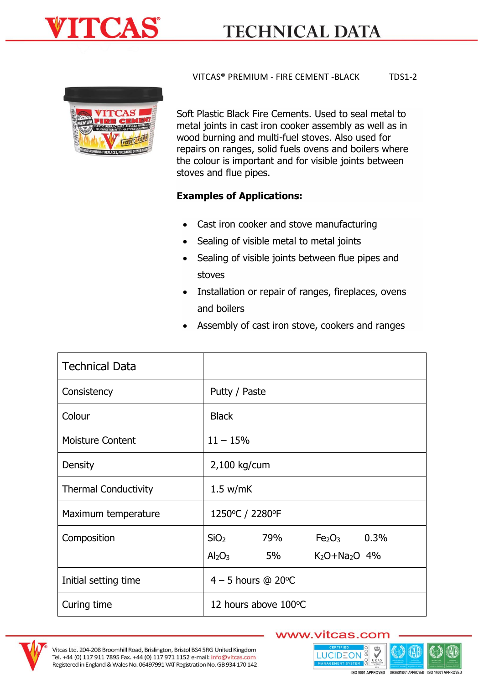



VITCAS® PREMIUM - FIRE CEMENT -BLACK TDS1-2

Soft Plastic Black Fire Cements. Used to seal metal to metal joints in cast iron cooker assembly as well as in wood burning and multi-fuel stoves. Also used for repairs on ranges, solid fuels ovens and boilers where the colour is important and for visible joints between stoves and flue pipes.

## **Examples of Applications:**

- Cast iron cooker and stove manufacturing
- Sealing of visible metal to metal joints
- Sealing of visible joints between flue pipes and stoves
- Installation or repair of ranges, fireplaces, ovens and boilers
- Assembly of cast iron stove, cookers and ranges

| <b>Technical Data</b>       |                                |     |                                |      |
|-----------------------------|--------------------------------|-----|--------------------------------|------|
| Consistency                 | Putty / Paste                  |     |                                |      |
| Colour                      | <b>Black</b>                   |     |                                |      |
| <b>Moisture Content</b>     | $11 - 15%$                     |     |                                |      |
| Density                     | 2,100 kg/cum                   |     |                                |      |
| <b>Thermal Conductivity</b> | 1.5 w/mK                       |     |                                |      |
| Maximum temperature         | 1250°C / 2280°F                |     |                                |      |
| Composition                 | SiO <sub>2</sub>               | 79% | Fe <sub>2</sub> O <sub>3</sub> | 0.3% |
|                             | Al <sub>2</sub> O <sub>3</sub> | 5%  | $K_2O + Na_2O$ 4%              |      |
| Initial setting time        | $4 - 5$ hours @ 20 $\degree$ C |     |                                |      |
| Curing time                 | 12 hours above 100°C           |     |                                |      |



## www.vitcas.com